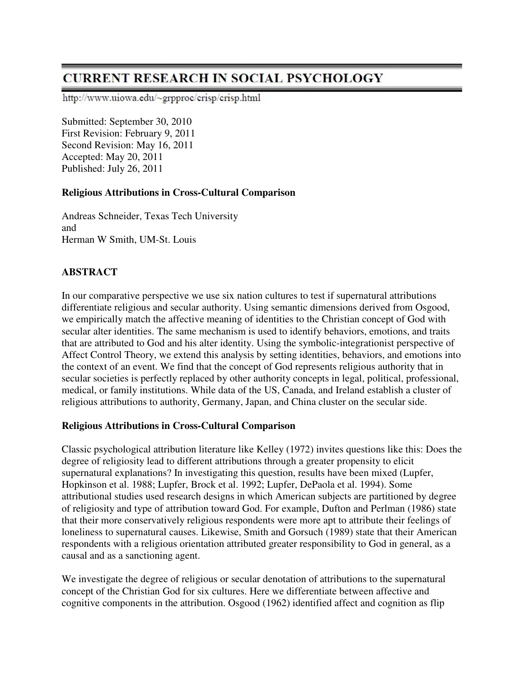# **CURRENT RESEARCH IN SOCIAL PSYCHOLOGY**

http://www.uiowa.edu/~grpproc/crisp/crisp.html

Submitted: September 30, 2010 First Revision: February 9, 2011 Second Revision: May 16, 2011 Accepted: May 20, 2011 Published: July 26, 2011

#### **Religious Attributions in Cross-Cultural Comparison**

Andreas Schneider, Texas Tech University and Herman W Smith, UM-St. Louis

# **ABSTRACT**

In our comparative perspective we use six nation cultures to test if supernatural attributions differentiate religious and secular authority. Using semantic dimensions derived from Osgood, we empirically match the affective meaning of identities to the Christian concept of God with secular alter identities. The same mechanism is used to identify behaviors, emotions, and traits that are attributed to God and his alter identity. Using the symbolic-integrationist perspective of Affect Control Theory, we extend this analysis by setting identities, behaviors, and emotions into the context of an event. We find that the concept of God represents religious authority that in secular societies is perfectly replaced by other authority concepts in legal, political, professional, medical, or family institutions. While data of the US, Canada, and Ireland establish a cluster of religious attributions to authority, Germany, Japan, and China cluster on the secular side.

#### **Religious Attributions in Cross-Cultural Comparison**

Classic psychological attribution literature like Kelley (1972) invites questions like this: Does the degree of religiosity lead to different attributions through a greater propensity to elicit supernatural explanations? In investigating this question, results have been mixed (Lupfer, Hopkinson et al. 1988; Lupfer, Brock et al. 1992; Lupfer, DePaola et al. 1994). Some attributional studies used research designs in which American subjects are partitioned by degree of religiosity and type of attribution toward God. For example, Dufton and Perlman (1986) state that their more conservatively religious respondents were more apt to attribute their feelings of loneliness to supernatural causes. Likewise, Smith and Gorsuch (1989) state that their American respondents with a religious orientation attributed greater responsibility to God in general, as a causal and as a sanctioning agent.

We investigate the degree of religious or secular denotation of attributions to the supernatural concept of the Christian God for six cultures. Here we differentiate between affective and cognitive components in the attribution. Osgood (1962) identified affect and cognition as flip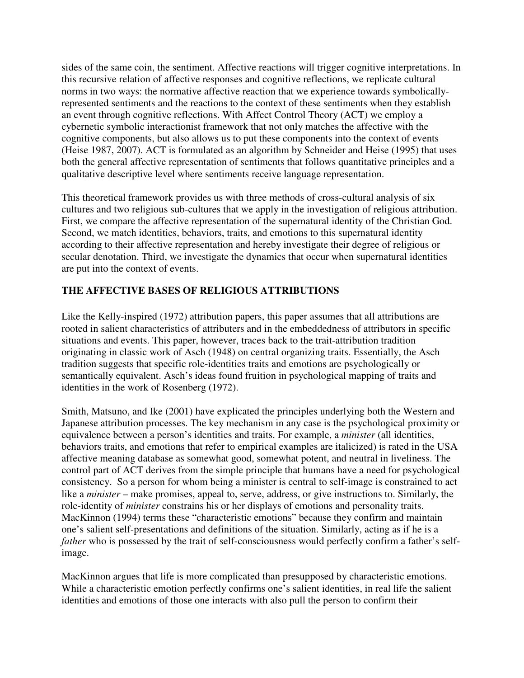sides of the same coin, the sentiment. Affective reactions will trigger cognitive interpretations. In this recursive relation of affective responses and cognitive reflections, we replicate cultural norms in two ways: the normative affective reaction that we experience towards symbolicallyrepresented sentiments and the reactions to the context of these sentiments when they establish an event through cognitive reflections. With Affect Control Theory (ACT) we employ a cybernetic symbolic interactionist framework that not only matches the affective with the cognitive components, but also allows us to put these components into the context of events (Heise 1987, 2007). ACT is formulated as an algorithm by Schneider and Heise (1995) that uses both the general affective representation of sentiments that follows quantitative principles and a qualitative descriptive level where sentiments receive language representation.

This theoretical framework provides us with three methods of cross-cultural analysis of six cultures and two religious sub-cultures that we apply in the investigation of religious attribution. First, we compare the affective representation of the supernatural identity of the Christian God. Second, we match identities, behaviors, traits, and emotions to this supernatural identity according to their affective representation and hereby investigate their degree of religious or secular denotation. Third, we investigate the dynamics that occur when supernatural identities are put into the context of events.

# **THE AFFECTIVE BASES OF RELIGIOUS ATTRIBUTIONS**

Like the Kelly-inspired (1972) attribution papers, this paper assumes that all attributions are rooted in salient characteristics of attributers and in the embeddedness of attributors in specific situations and events. This paper, however, traces back to the trait-attribution tradition originating in classic work of Asch (1948) on central organizing traits. Essentially, the Asch tradition suggests that specific role-identities traits and emotions are psychologically or semantically equivalent. Asch's ideas found fruition in psychological mapping of traits and identities in the work of Rosenberg (1972).

Smith, Matsuno, and Ike (2001) have explicated the principles underlying both the Western and Japanese attribution processes. The key mechanism in any case is the psychological proximity or equivalence between a person's identities and traits. For example, a *minister* (all identities, behaviors traits, and emotions that refer to empirical examples are italicized) is rated in the USA affective meaning database as somewhat good, somewhat potent, and neutral in liveliness. The control part of ACT derives from the simple principle that humans have a need for psychological consistency. So a person for whom being a minister is central to self-image is constrained to act like a *minister* – make promises, appeal to, serve, address, or give instructions to. Similarly, the role-identity of *minister* constrains his or her displays of emotions and personality traits. MacKinnon (1994) terms these "characteristic emotions" because they confirm and maintain one's salient self-presentations and definitions of the situation. Similarly, acting as if he is a *father* who is possessed by the trait of self-consciousness would perfectly confirm a father's selfimage.

MacKinnon argues that life is more complicated than presupposed by characteristic emotions. While a characteristic emotion perfectly confirms one's salient identities, in real life the salient identities and emotions of those one interacts with also pull the person to confirm their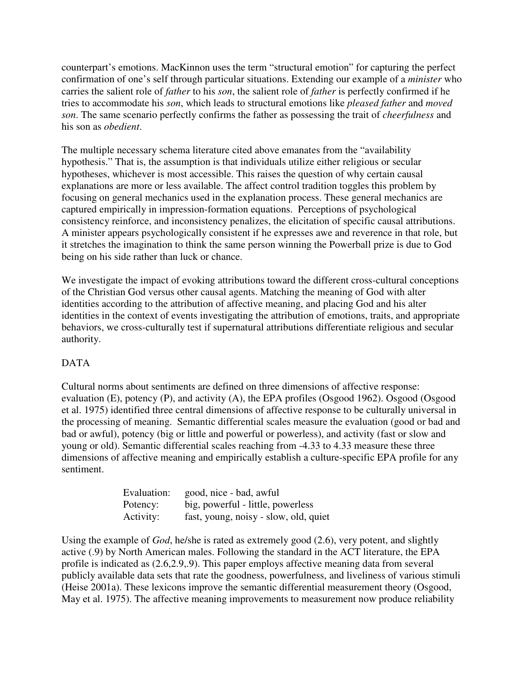counterpart's emotions. MacKinnon uses the term "structural emotion" for capturing the perfect confirmation of one's self through particular situations. Extending our example of a *minister* who carries the salient role of *father* to his *son*, the salient role of *father* is perfectly confirmed if he tries to accommodate his *son*, which leads to structural emotions like *pleased father* and *moved son*. The same scenario perfectly confirms the father as possessing the trait of *cheerfulness* and his son as *obedient*.

The multiple necessary schema literature cited above emanates from the "availability hypothesis." That is, the assumption is that individuals utilize either religious or secular hypotheses, whichever is most accessible. This raises the question of why certain causal explanations are more or less available. The affect control tradition toggles this problem by focusing on general mechanics used in the explanation process. These general mechanics are captured empirically in impression-formation equations. Perceptions of psychological consistency reinforce, and inconsistency penalizes, the elicitation of specific causal attributions. A minister appears psychologically consistent if he expresses awe and reverence in that role, but it stretches the imagination to think the same person winning the Powerball prize is due to God being on his side rather than luck or chance.

We investigate the impact of evoking attributions toward the different cross-cultural conceptions of the Christian God versus other causal agents. Matching the meaning of God with alter identities according to the attribution of affective meaning, and placing God and his alter identities in the context of events investigating the attribution of emotions, traits, and appropriate behaviors, we cross-culturally test if supernatural attributions differentiate religious and secular authority.

### DATA

Cultural norms about sentiments are defined on three dimensions of affective response: evaluation (E), potency (P), and activity (A), the EPA profiles (Osgood 1962). Osgood (Osgood et al. 1975) identified three central dimensions of affective response to be culturally universal in the processing of meaning. Semantic differential scales measure the evaluation (good or bad and bad or awful), potency (big or little and powerful or powerless), and activity (fast or slow and young or old). Semantic differential scales reaching from -4.33 to 4.33 measure these three dimensions of affective meaning and empirically establish a culture-specific EPA profile for any sentiment.

| Evaluation: | good, nice - bad, awful               |
|-------------|---------------------------------------|
| Potency:    | big, powerful - little, powerless     |
| Activity:   | fast, young, noisy - slow, old, quiet |

Using the example of *God*, he/she is rated as extremely good (2.6), very potent, and slightly active (.9) by North American males. Following the standard in the ACT literature, the EPA profile is indicated as (2.6,2.9,.9). This paper employs affective meaning data from several publicly available data sets that rate the goodness, powerfulness, and liveliness of various stimuli (Heise 2001a). These lexicons improve the semantic differential measurement theory (Osgood, May et al. 1975). The affective meaning improvements to measurement now produce reliability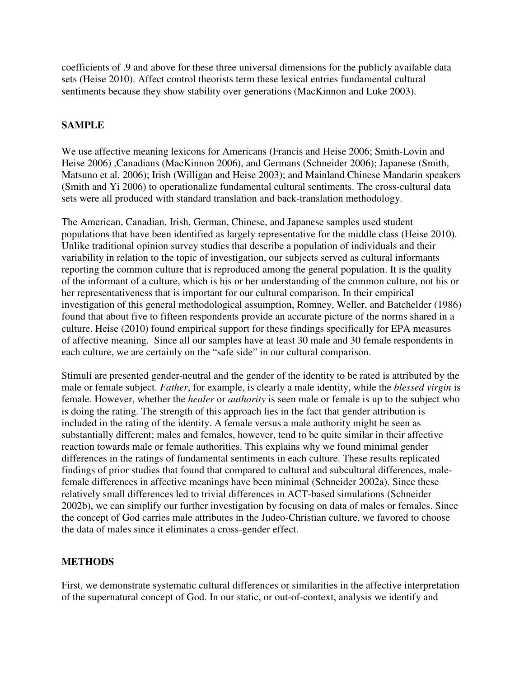coefficients of .9 and above for these three universal dimensions for the publicly available data sets (Heise 2010). Affect control theorists term these lexical entries fundamental cultural sentiments because they show stability over generations (MacKinnon and Luke 2003).

# **SAMPLE**

We use affective meaning lexicons for Americans (Francis and Heise 2006; Smith-Lovin and Heise 2006) ,Canadians (MacKinnon 2006), and Germans (Schneider 2006); Japanese (Smith, Matsuno et al. 2006); Irish (Willigan and Heise 2003); and Mainland Chinese Mandarin speakers (Smith and Yi 2006) to operationalize fundamental cultural sentiments. The cross-cultural data sets were all produced with standard translation and back-translation methodology.

The American, Canadian, Irish, German, Chinese, and Japanese samples used student populations that have been identified as largely representative for the middle class (Heise 2010). Unlike traditional opinion survey studies that describe a population of individuals and their variability in relation to the topic of investigation, our subjects served as cultural informants reporting the common culture that is reproduced among the general population. It is the quality of the informant of a culture, which is his or her understanding of the common culture, not his or her representativeness that is important for our cultural comparison. In their empirical investigation of this general methodological assumption, Romney, Weller, and Batchelder (1986) found that about five to fifteen respondents provide an accurate picture of the norms shared in a culture. Heise (2010) found empirical support for these findings specifically for EPA measures of affective meaning. Since all our samples have at least 30 male and 30 female respondents in each culture, we are certainly on the "safe side" in our cultural comparison.

Stimuli are presented gender-neutral and the gender of the identity to be rated is attributed by the male or female subject. *Father*, for example, is clearly a male identity, while the *blessed virgin* is female. However, whether the *healer* or *authority* is seen male or female is up to the subject who is doing the rating. The strength of this approach lies in the fact that gender attribution is included in the rating of the identity. A female versus a male authority might be seen as substantially different; males and females, however, tend to be quite similar in their affective reaction towards male or female authorities. This explains why we found minimal gender differences in the ratings of fundamental sentiments in each culture. These results replicated findings of prior studies that found that compared to cultural and subcultural differences, malefemale differences in affective meanings have been minimal (Schneider 2002a). Since these relatively small differences led to trivial differences in ACT-based simulations (Schneider 2002b), we can simplify our further investigation by focusing on data of males or females. Since the concept of God carries male attributes in the Judeo-Christian culture, we favored to choose the data of males since it eliminates a cross-gender effect.

### **METHODS**

First, we demonstrate systematic cultural differences or similarities in the affective interpretation of the supernatural concept of God. In our static, or out-of-context, analysis we identify and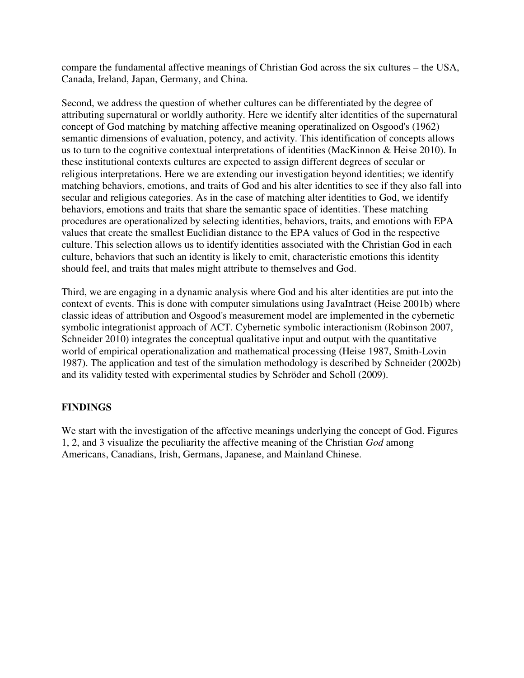compare the fundamental affective meanings of Christian God across the six cultures – the USA, Canada, Ireland, Japan, Germany, and China.

Second, we address the question of whether cultures can be differentiated by the degree of attributing supernatural or worldly authority. Here we identify alter identities of the supernatural concept of God matching by matching affective meaning operatinalized on Osgood's (1962) semantic dimensions of evaluation, potency, and activity. This identification of concepts allows us to turn to the cognitive contextual interpretations of identities (MacKinnon & Heise 2010). In these institutional contexts cultures are expected to assign different degrees of secular or religious interpretations. Here we are extending our investigation beyond identities; we identify matching behaviors, emotions, and traits of God and his alter identities to see if they also fall into secular and religious categories. As in the case of matching alter identities to God, we identify behaviors, emotions and traits that share the semantic space of identities. These matching procedures are operationalized by selecting identities, behaviors, traits, and emotions with EPA values that create the smallest Euclidian distance to the EPA values of God in the respective culture. This selection allows us to identify identities associated with the Christian God in each culture, behaviors that such an identity is likely to emit, characteristic emotions this identity should feel, and traits that males might attribute to themselves and God.

Third, we are engaging in a dynamic analysis where God and his alter identities are put into the context of events. This is done with computer simulations using JavaIntract (Heise 2001b) where classic ideas of attribution and Osgood's measurement model are implemented in the cybernetic symbolic integrationist approach of ACT. Cybernetic symbolic interactionism (Robinson 2007, Schneider 2010) integrates the conceptual qualitative input and output with the quantitative world of empirical operationalization and mathematical processing (Heise 1987, Smith-Lovin 1987). The application and test of the simulation methodology is described by Schneider (2002b) and its validity tested with experimental studies by Schröder and Scholl (2009).

### **FINDINGS**

We start with the investigation of the affective meanings underlying the concept of God. Figures 1, 2, and 3 visualize the peculiarity the affective meaning of the Christian *God* among Americans, Canadians, Irish, Germans, Japanese, and Mainland Chinese.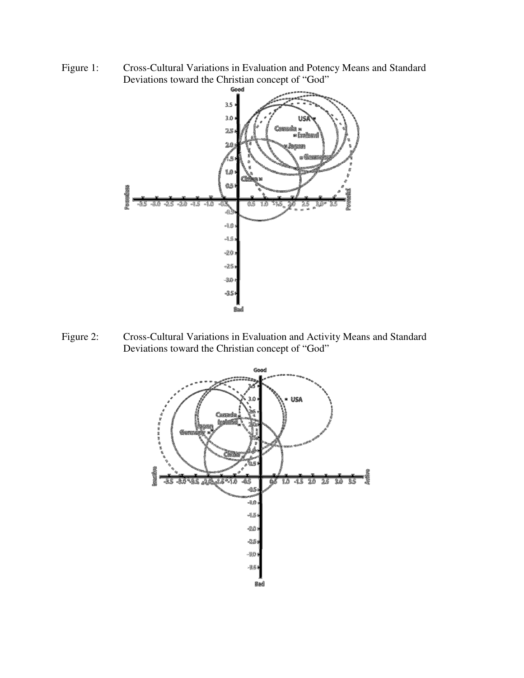Figure 1: Cross-Cultural Variations in Evaluation and Potency Means and Standard Deviations toward the Christian concept of "God"



Figure 2: Cross-Cultural Variations in Evaluation and Activity Means and Standard Deviations toward the Christian concept of "God"

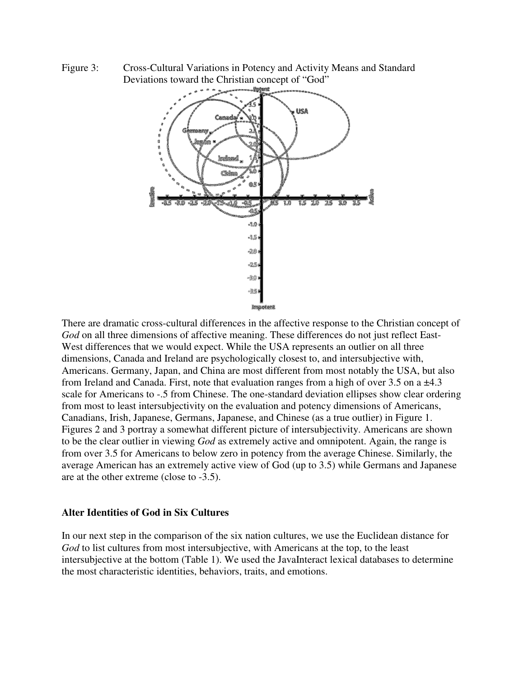Figure 3: Cross-Cultural Variations in Potency and Activity Means and Standard Deviations toward the Christian concept of "God"



There are dramatic cross-cultural differences in the affective response to the Christian concept of *God* on all three dimensions of affective meaning. These differences do not just reflect East-West differences that we would expect. While the USA represents an outlier on all three dimensions, Canada and Ireland are psychologically closest to, and intersubjective with, Americans. Germany, Japan, and China are most different from most notably the USA, but also from Ireland and Canada. First, note that evaluation ranges from a high of over 3.5 on a ±4.3 scale for Americans to -.5 from Chinese. The one-standard deviation ellipses show clear ordering from most to least intersubjectivity on the evaluation and potency dimensions of Americans, Canadians, Irish, Japanese, Germans, Japanese, and Chinese (as a true outlier) in Figure 1. Figures 2 and 3 portray a somewhat different picture of intersubjectivity. Americans are shown to be the clear outlier in viewing *God* as extremely active and omnipotent. Again, the range is from over 3.5 for Americans to below zero in potency from the average Chinese. Similarly, the average American has an extremely active view of God (up to 3.5) while Germans and Japanese are at the other extreme (close to -3.5).

#### **Alter Identities of God in Six Cultures**

In our next step in the comparison of the six nation cultures, we use the Euclidean distance for *God* to list cultures from most intersubjective, with Americans at the top, to the least intersubjective at the bottom (Table 1). We used the JavaInteract lexical databases to determine the most characteristic identities, behaviors, traits, and emotions.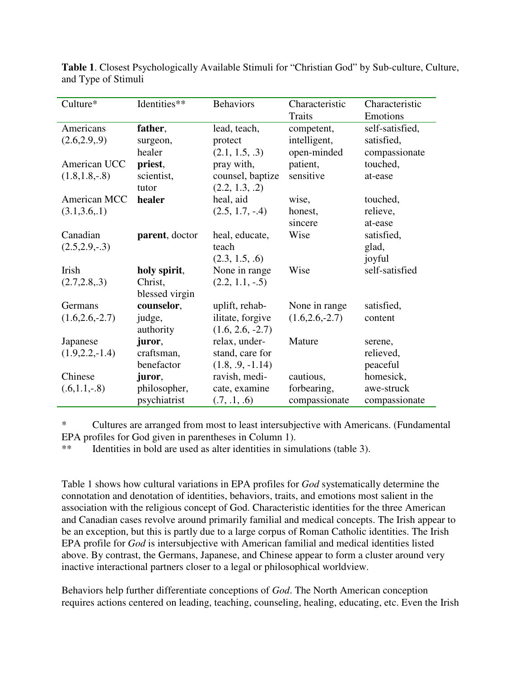| Culture*           | Identities**   | <b>Behaviors</b>   | Characteristic<br>Characteristic |                 |
|--------------------|----------------|--------------------|----------------------------------|-----------------|
|                    |                |                    | <b>Traits</b>                    | Emotions        |
| Americans          | father,        | lead, teach,       | competent,                       | self-satisfied, |
| (2.6, 2.9, .9)     | surgeon,       | protect            | intelligent,                     | satisfied,      |
|                    | healer         | (2.1, 1.5, .3)     | open-minded                      | compassionate   |
| American UCC       | priest,        | pray with,         | patient,                         | touched,        |
| $(1.8, 1.8, -.8)$  | scientist,     | counsel, baptize   | sensitive                        | at-ease         |
|                    | tutor          | (2.2, 1.3, .2)     |                                  |                 |
| American MCC       | healer         | heal, aid          | wise,                            | touched,        |
| (3.1, 3.6, 1)      |                | $(2.5, 1.7, -0.4)$ | honest,                          | relieve,        |
|                    |                |                    | sincere                          | at-ease         |
| Canadian           | parent, doctor | heal, educate,     | Wise                             | satisfied,      |
| $(2.5, 2.9, -0.3)$ |                | teach              |                                  | glad,           |
|                    |                | (2.3, 1.5, .6)     |                                  | joyful          |
| Irish              | holy spirit,   | None in range      | Wise                             | self-satisfied  |
| (2.7, 2.8, .3)     | Christ,        | $(2.2, 1.1, -0.5)$ |                                  |                 |
|                    | blessed virgin |                    |                                  |                 |
| Germans            | counselor,     | uplift, rehab-     | None in range                    | satisfied,      |
| $(1.6, 2.6, -2.7)$ | judge,         | ilitate, forgive   | $(1.6, 2.6, -2.7)$               | content         |
|                    | authority      | $(1.6, 2.6, -2.7)$ |                                  |                 |
| Japanese           | juror,         | relax, under-      | Mature                           | serene,         |
| $(1.9, 2.2, -1.4)$ | craftsman,     | stand, care for    |                                  | relieved,       |
|                    | benefactor     | $(1.8, .9, -1.14)$ |                                  | peaceful        |
| Chinese            | juror,         | ravish, medi-      | cautious,                        | homesick,       |
| $(.6,1.1,-.8)$     | philosopher,   | cate, examine      | forbearing,                      | awe-struck      |
|                    | psychiatrist   | (.7, .1, .6)       | compassionate                    | compassionate   |

**Table 1**. Closest Psychologically Available Stimuli for "Christian God" by Sub-culture, Culture, and Type of Stimuli

\* Cultures are arranged from most to least intersubjective with Americans. (Fundamental EPA profiles for God given in parentheses in Column 1).

\*\* Identities in bold are used as alter identities in simulations (table 3).

Table 1 shows how cultural variations in EPA profiles for *God* systematically determine the connotation and denotation of identities, behaviors, traits, and emotions most salient in the association with the religious concept of God. Characteristic identities for the three American and Canadian cases revolve around primarily familial and medical concepts. The Irish appear to be an exception, but this is partly due to a large corpus of Roman Catholic identities. The Irish EPA profile for *God* is intersubjective with American familial and medical identities listed above. By contrast, the Germans, Japanese, and Chinese appear to form a cluster around very inactive interactional partners closer to a legal or philosophical worldview.

Behaviors help further differentiate conceptions of *God*. The North American conception requires actions centered on leading, teaching, counseling, healing, educating, etc. Even the Irish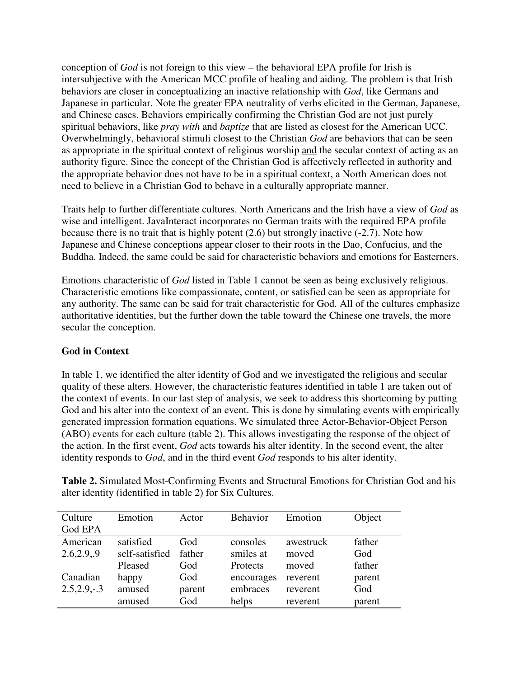conception of *God* is not foreign to this view – the behavioral EPA profile for Irish is intersubjective with the American MCC profile of healing and aiding. The problem is that Irish behaviors are closer in conceptualizing an inactive relationship with *God*, like Germans and Japanese in particular. Note the greater EPA neutrality of verbs elicited in the German, Japanese, and Chinese cases. Behaviors empirically confirming the Christian God are not just purely spiritual behaviors, like *pray with* and *baptize* that are listed as closest for the American UCC. Overwhelmingly, behavioral stimuli closest to the Christian *God* are behaviors that can be seen as appropriate in the spiritual context of religious worship and the secular context of acting as an authority figure. Since the concept of the Christian God is affectively reflected in authority and the appropriate behavior does not have to be in a spiritual context, a North American does not need to believe in a Christian God to behave in a culturally appropriate manner.

Traits help to further differentiate cultures. North Americans and the Irish have a view of *God* as wise and intelligent. JavaInteract incorporates no German traits with the required EPA profile because there is no trait that is highly potent  $(2.6)$  but strongly inactive  $(-2.7)$ . Note how Japanese and Chinese conceptions appear closer to their roots in the Dao, Confucius, and the Buddha. Indeed, the same could be said for characteristic behaviors and emotions for Easterners.

Emotions characteristic of *God* listed in Table 1 cannot be seen as being exclusively religious. Characteristic emotions like compassionate, content, or satisfied can be seen as appropriate for any authority. The same can be said for trait characteristic for God. All of the cultures emphasize authoritative identities, but the further down the table toward the Chinese one travels, the more secular the conception.

### **God in Context**

In table 1, we identified the alter identity of God and we investigated the religious and secular quality of these alters. However, the characteristic features identified in table 1 are taken out of the context of events. In our last step of analysis, we seek to address this shortcoming by putting God and his alter into the context of an event. This is done by simulating events with empirically generated impression formation equations. We simulated three Actor-Behavior-Object Person (ABO) events for each culture (table 2). This allows investigating the response of the object of the action. In the first event, *God* acts towards his alter identity. In the second event, the alter identity responds to *God*, and in the third event *God* responds to his alter identity.

**Table 2.** Simulated Most-Confirming Events and Structural Emotions for Christian God and his alter identity (identified in table 2) for Six Cultures.

| Culture<br>God EPA    | Emotion                     | Actor         | <b>Behavior</b>       | Emotion            | Object        |
|-----------------------|-----------------------------|---------------|-----------------------|--------------------|---------------|
| American<br>2.6,2.9,9 | satisfied<br>self-satisfied | God<br>father | consoles<br>smiles at | awestruck<br>moved | father<br>God |
|                       | Pleased                     | God           | <b>Protects</b>       | moved              | father        |
| Canadian              | happy                       | God           | encourages            | reverent           | parent        |
| $2.5, 2.9, -.3$       | amused                      | parent        | embraces              | reverent           | God           |
|                       | amused                      | God           | helps                 | reverent           | parent        |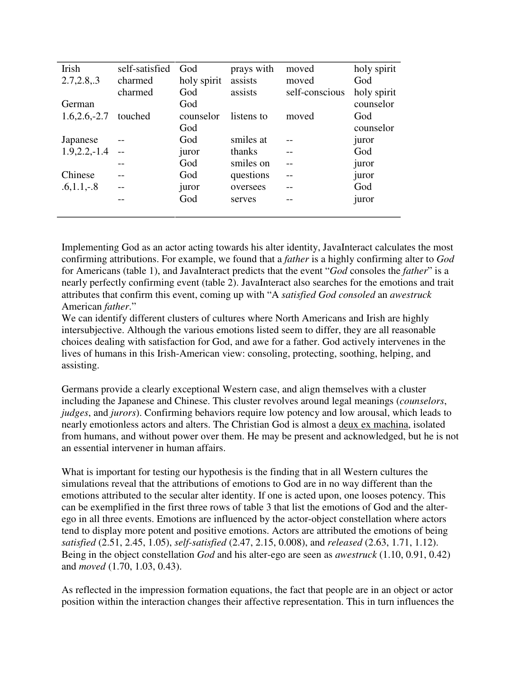| Irish            | self-satisfied | God         | prays with | moved          | holy spirit |
|------------------|----------------|-------------|------------|----------------|-------------|
| 2.7, 2.8, .3     | charmed        | holy spirit | assists    | moved          | God         |
|                  | charmed        | God         | assists    | self-conscious | holy spirit |
| German           |                | God         |            |                | counselor   |
| $1.6, 2.6, -2.7$ | touched        | counselor   | listens to | moved          | God         |
|                  |                | God         |            |                | counselor   |
| Japanese         |                | God         | smiles at  |                | juror       |
| $1.9, 2.2, -1.4$ |                | juror       | thanks     |                | God         |
|                  |                | God         | smiles on  |                | juror       |
| Chinese          |                | God         | questions  |                | juror       |
| $.6, 1.1, -.8$   |                | juror       | oversees   |                | God         |
|                  |                | God         | serves     |                | juror       |
|                  |                |             |            |                |             |

Implementing God as an actor acting towards his alter identity, JavaInteract calculates the most confirming attributions. For example, we found that a *father* is a highly confirming alter to *God* for Americans (table 1), and JavaInteract predicts that the event "*God* consoles the *father*" is a nearly perfectly confirming event (table 2). JavaInteract also searches for the emotions and trait attributes that confirm this event, coming up with "A *satisfied God consoled* an *awestruck* American *father*."

We can identify different clusters of cultures where North Americans and Irish are highly intersubjective. Although the various emotions listed seem to differ, they are all reasonable choices dealing with satisfaction for God, and awe for a father. God actively intervenes in the lives of humans in this Irish-American view: consoling, protecting, soothing, helping, and assisting.

Germans provide a clearly exceptional Western case, and align themselves with a cluster including the Japanese and Chinese. This cluster revolves around legal meanings (*counselors*, *judges*, and *jurors*). Confirming behaviors require low potency and low arousal, which leads to nearly emotionless actors and alters. The Christian God is almost a deux ex machina, isolated from humans, and without power over them. He may be present and acknowledged, but he is not an essential intervener in human affairs.

What is important for testing our hypothesis is the finding that in all Western cultures the simulations reveal that the attributions of emotions to God are in no way different than the emotions attributed to the secular alter identity. If one is acted upon, one looses potency. This can be exemplified in the first three rows of table 3 that list the emotions of God and the alterego in all three events. Emotions are influenced by the actor-object constellation where actors tend to display more potent and positive emotions. Actors are attributed the emotions of being *satisfied* (2.51, 2.45, 1.05), *self-satisfied* (2.47, 2.15, 0.008), and *released* (2.63, 1.71, 1.12). Being in the object constellation *God* and his alter-ego are seen as *awestruck* (1.10, 0.91, 0.42) and *moved* (1.70, 1.03, 0.43).

As reflected in the impression formation equations, the fact that people are in an object or actor position within the interaction changes their affective representation. This in turn influences the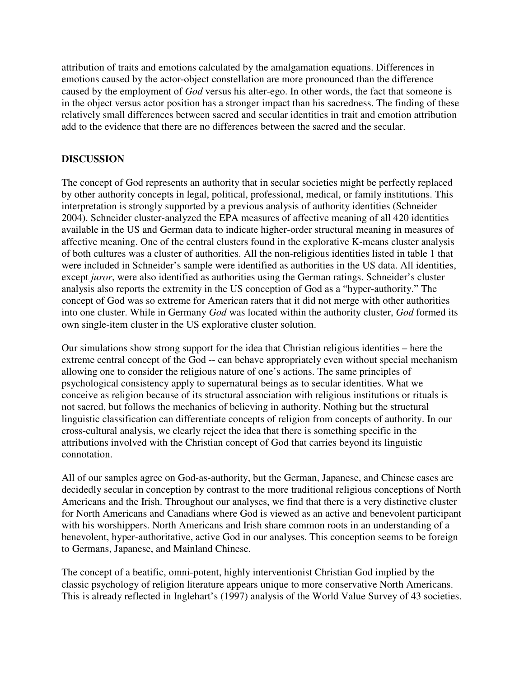attribution of traits and emotions calculated by the amalgamation equations. Differences in emotions caused by the actor-object constellation are more pronounced than the difference caused by the employment of *God* versus his alter-ego. In other words, the fact that someone is in the object versus actor position has a stronger impact than his sacredness. The finding of these relatively small differences between sacred and secular identities in trait and emotion attribution add to the evidence that there are no differences between the sacred and the secular.

#### **DISCUSSION**

The concept of God represents an authority that in secular societies might be perfectly replaced by other authority concepts in legal, political, professional, medical, or family institutions. This interpretation is strongly supported by a previous analysis of authority identities (Schneider 2004). Schneider cluster-analyzed the EPA measures of affective meaning of all 420 identities available in the US and German data to indicate higher-order structural meaning in measures of affective meaning. One of the central clusters found in the explorative K-means cluster analysis of both cultures was a cluster of authorities. All the non-religious identities listed in table 1 that were included in Schneider's sample were identified as authorities in the US data. All identities, except *juror*, were also identified as authorities using the German ratings. Schneider's cluster analysis also reports the extremity in the US conception of God as a "hyper-authority." The concept of God was so extreme for American raters that it did not merge with other authorities into one cluster. While in Germany *God* was located within the authority cluster, *God* formed its own single-item cluster in the US explorative cluster solution.

Our simulations show strong support for the idea that Christian religious identities – here the extreme central concept of the God -- can behave appropriately even without special mechanism allowing one to consider the religious nature of one's actions. The same principles of psychological consistency apply to supernatural beings as to secular identities. What we conceive as religion because of its structural association with religious institutions or rituals is not sacred, but follows the mechanics of believing in authority. Nothing but the structural linguistic classification can differentiate concepts of religion from concepts of authority. In our cross-cultural analysis, we clearly reject the idea that there is something specific in the attributions involved with the Christian concept of God that carries beyond its linguistic connotation.

All of our samples agree on God-as-authority, but the German, Japanese, and Chinese cases are decidedly secular in conception by contrast to the more traditional religious conceptions of North Americans and the Irish. Throughout our analyses, we find that there is a very distinctive cluster for North Americans and Canadians where God is viewed as an active and benevolent participant with his worshippers. North Americans and Irish share common roots in an understanding of a benevolent, hyper-authoritative, active God in our analyses. This conception seems to be foreign to Germans, Japanese, and Mainland Chinese.

The concept of a beatific, omni-potent, highly interventionist Christian God implied by the classic psychology of religion literature appears unique to more conservative North Americans. This is already reflected in Inglehart's (1997) analysis of the World Value Survey of 43 societies.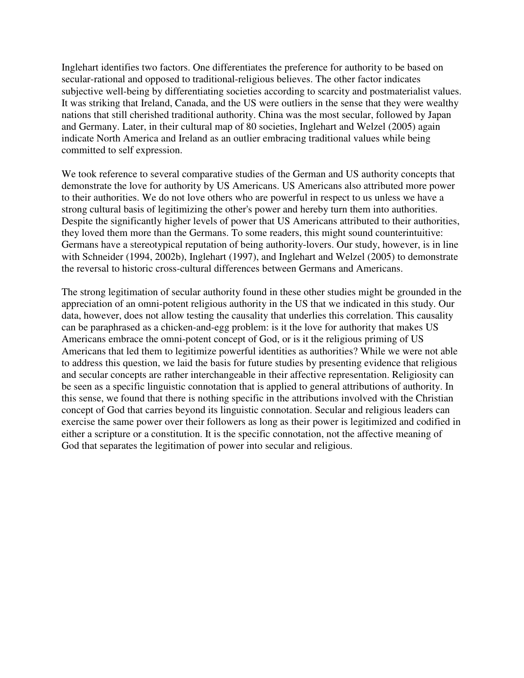Inglehart identifies two factors. One differentiates the preference for authority to be based on secular-rational and opposed to traditional-religious believes. The other factor indicates subjective well-being by differentiating societies according to scarcity and postmaterialist values. It was striking that Ireland, Canada, and the US were outliers in the sense that they were wealthy nations that still cherished traditional authority. China was the most secular, followed by Japan and Germany. Later, in their cultural map of 80 societies, Inglehart and Welzel (2005) again indicate North America and Ireland as an outlier embracing traditional values while being committed to self expression.

We took reference to several comparative studies of the German and US authority concepts that demonstrate the love for authority by US Americans. US Americans also attributed more power to their authorities. We do not love others who are powerful in respect to us unless we have a strong cultural basis of legitimizing the other's power and hereby turn them into authorities. Despite the significantly higher levels of power that US Americans attributed to their authorities, they loved them more than the Germans. To some readers, this might sound counterintuitive: Germans have a stereotypical reputation of being authority-lovers. Our study, however, is in line with Schneider (1994, 2002b), Inglehart (1997), and Inglehart and Welzel (2005) to demonstrate the reversal to historic cross-cultural differences between Germans and Americans.

The strong legitimation of secular authority found in these other studies might be grounded in the appreciation of an omni-potent religious authority in the US that we indicated in this study. Our data, however, does not allow testing the causality that underlies this correlation. This causality can be paraphrased as a chicken-and-egg problem: is it the love for authority that makes US Americans embrace the omni-potent concept of God, or is it the religious priming of US Americans that led them to legitimize powerful identities as authorities? While we were not able to address this question, we laid the basis for future studies by presenting evidence that religious and secular concepts are rather interchangeable in their affective representation. Religiosity can be seen as a specific linguistic connotation that is applied to general attributions of authority. In this sense, we found that there is nothing specific in the attributions involved with the Christian concept of God that carries beyond its linguistic connotation. Secular and religious leaders can exercise the same power over their followers as long as their power is legitimized and codified in either a scripture or a constitution. It is the specific connotation, not the affective meaning of God that separates the legitimation of power into secular and religious.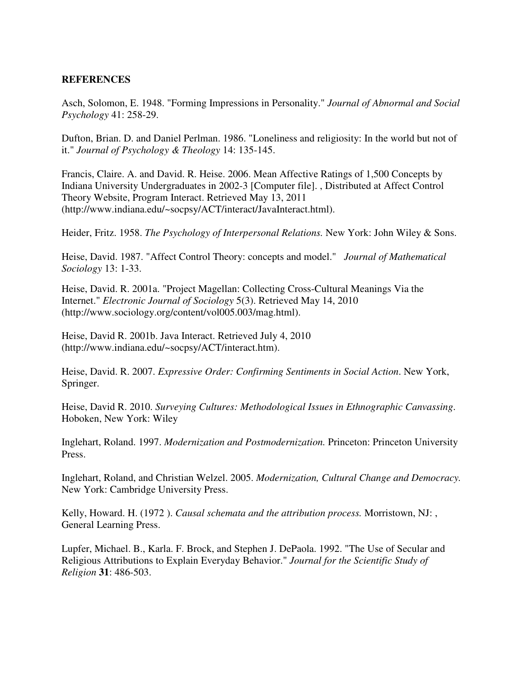#### **REFERENCES**

Asch, Solomon, E. 1948. "Forming Impressions in Personality." *Journal of Abnormal and Social Psychology* 41: 258-29.

Dufton, Brian. D. and Daniel Perlman. 1986. "Loneliness and religiosity: In the world but not of it." *Journal of Psychology & Theology* 14: 135-145.

Francis, Claire. A. and David. R. Heise. 2006. Mean Affective Ratings of 1,500 Concepts by Indiana University Undergraduates in 2002-3 [Computer file]. , Distributed at Affect Control Theory Website, Program Interact. Retrieved May 13, 2011 (http://www.indiana.edu/~socpsy/ACT/interact/JavaInteract.html).

Heider, Fritz. 1958. *The Psychology of Interpersonal Relations.* New York: John Wiley & Sons.

Heise, David. 1987. "Affect Control Theory: concepts and model." *Journal of Mathematical Sociology* 13: 1-33.

Heise, David. R. 2001a. "Project Magellan: Collecting Cross-Cultural Meanings Via the Internet." *Electronic Journal of Sociology* 5(3). Retrieved May 14, 2010 (http://www.sociology.org/content/vol005.003/mag.html).

Heise, David R. 2001b. Java Interact. Retrieved July 4, 2010 (http://www.indiana.edu/~socpsy/ACT/interact.htm).

Heise, David. R. 2007. *Expressive Order: Confirming Sentiments in Social Action*. New York, Springer.

Heise, David R. 2010. *Surveying Cultures: Methodological Issues in Ethnographic Canvassing*. Hoboken, New York: Wiley

Inglehart, Roland. 1997. *Modernization and Postmodernization.* Princeton: Princeton University Press.

Inglehart, Roland, and Christian Welzel. 2005. *Modernization, Cultural Change and Democracy.* New York: Cambridge University Press.

Kelly, Howard. H. (1972 ). *Causal schemata and the attribution process.* Morristown, NJ: , General Learning Press.

Lupfer, Michael. B., Karla. F. Brock, and Stephen J. DePaola. 1992. "The Use of Secular and Religious Attributions to Explain Everyday Behavior." *Journal for the Scientific Study of Religion* **31**: 486-503.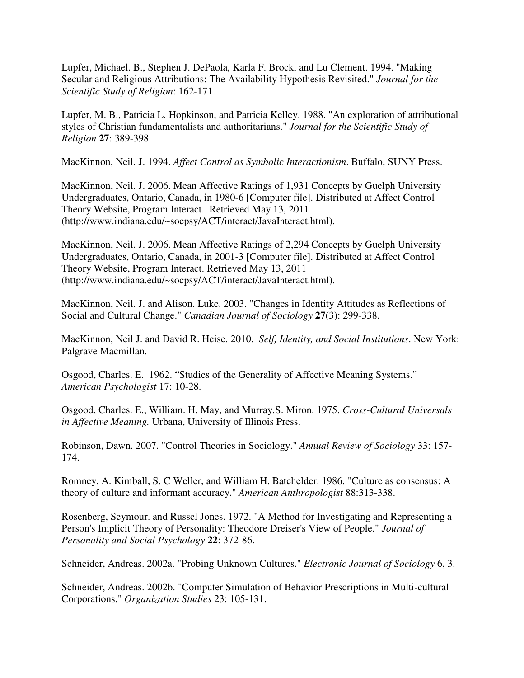Lupfer, Michael. B., Stephen J. DePaola, Karla F. Brock, and Lu Clement. 1994. "Making Secular and Religious Attributions: The Availability Hypothesis Revisited." *Journal for the Scientific Study of Religion*: 162-171.

Lupfer, M. B., Patricia L. Hopkinson, and Patricia Kelley. 1988. "An exploration of attributional styles of Christian fundamentalists and authoritarians." *Journal for the Scientific Study of Religion* **27**: 389-398.

MacKinnon, Neil. J. 1994. *Affect Control as Symbolic Interactionism*. Buffalo, SUNY Press.

MacKinnon, Neil. J. 2006. Mean Affective Ratings of 1,931 Concepts by Guelph University Undergraduates, Ontario, Canada, in 1980-6 [Computer file]. Distributed at Affect Control Theory Website, Program Interact. Retrieved May 13, 2011 (http://www.indiana.edu/~socpsy/ACT/interact/JavaInteract.html).

MacKinnon, Neil. J. 2006. Mean Affective Ratings of 2,294 Concepts by Guelph University Undergraduates, Ontario, Canada, in 2001-3 [Computer file]. Distributed at Affect Control Theory Website, Program Interact. Retrieved May 13, 2011 (http://www.indiana.edu/~socpsy/ACT/interact/JavaInteract.html).

MacKinnon, Neil. J. and Alison. Luke. 2003. "Changes in Identity Attitudes as Reflections of Social and Cultural Change." *Canadian Journal of Sociology* **27**(3): 299-338.

MacKinnon, Neil J. and David R. Heise. 2010. *Self, Identity, and Social Institutions*. New York: Palgrave Macmillan.

Osgood, Charles. E. 1962. "Studies of the Generality of Affective Meaning Systems." *American Psychologist* 17: 10-28.

Osgood, Charles. E., William. H. May, and Murray.S. Miron. 1975. *Cross-Cultural Universals in Affective Meaning.* Urbana, University of Illinois Press.

Robinson, Dawn. 2007. "Control Theories in Sociology." *Annual Review of Sociology* 33: 157- 174.

Romney, A. Kimball, S. C Weller, and William H. Batchelder. 1986. "Culture as consensus: A theory of culture and informant accuracy." *American Anthropologist* 88:313-338.

Rosenberg, Seymour. and Russel Jones. 1972. "A Method for Investigating and Representing a Person's Implicit Theory of Personality: Theodore Dreiser's View of People." *Journal of Personality and Social Psychology* **22**: 372-86.

Schneider, Andreas. 2002a. "Probing Unknown Cultures." *Electronic Journal of Sociology* 6, 3.

Schneider, Andreas. 2002b. "Computer Simulation of Behavior Prescriptions in Multi-cultural Corporations." *Organization Studies* 23: 105-131.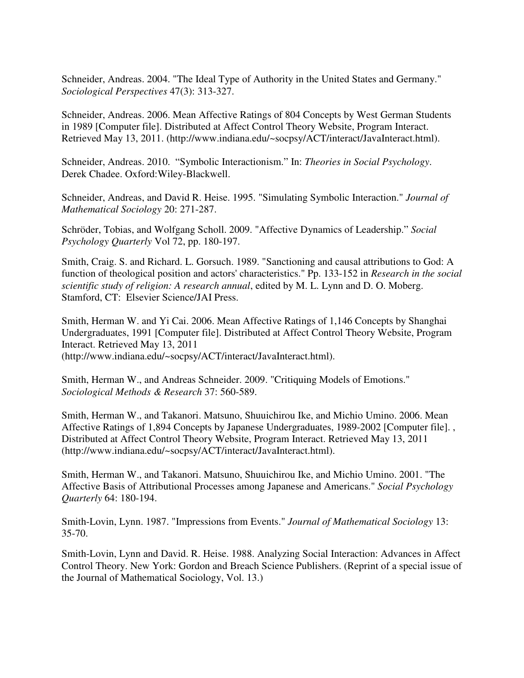Schneider, Andreas. 2004. "The Ideal Type of Authority in the United States and Germany." *Sociological Perspectives* 47(3): 313-327.

Schneider, Andreas. 2006. Mean Affective Ratings of 804 Concepts by West German Students in 1989 [Computer file]. Distributed at Affect Control Theory Website, Program Interact. Retrieved May 13, 2011. (http://www.indiana.edu/~socpsy/ACT/interact/JavaInteract.html).

Schneider, Andreas. 2010. "Symbolic Interactionism." In: *Theories in Social Psychology*. Derek Chadee. Oxford:Wiley-Blackwell.

Schneider, Andreas, and David R. Heise. 1995. "Simulating Symbolic Interaction." *Journal of Mathematical Sociology* 20: 271-287.

Schröder, Tobias, and Wolfgang Scholl. 2009. "Affective Dynamics of Leadership." *Social Psychology Quarterly* Vol 72, pp. 180-197.

Smith, Craig. S. and Richard. L. Gorsuch. 1989. "Sanctioning and causal attributions to God: A function of theological position and actors' characteristics." Pp. 133-152 in *Research in the social scientific study of religion: A research annual*, edited by M. L. Lynn and D. O. Moberg. Stamford, CT: Elsevier Science/JAI Press.

Smith, Herman W. and Yi Cai. 2006. Mean Affective Ratings of 1,146 Concepts by Shanghai Undergraduates, 1991 [Computer file]. Distributed at Affect Control Theory Website, Program Interact. Retrieved May 13, 2011 (http://www.indiana.edu/~socpsy/ACT/interact/JavaInteract.html).

Smith, Herman W., and Andreas Schneider. 2009. "Critiquing Models of Emotions." *Sociological Methods & Research* 37: 560-589.

Smith, Herman W., and Takanori. Matsuno, Shuuichirou Ike, and Michio Umino. 2006. Mean Affective Ratings of 1,894 Concepts by Japanese Undergraduates, 1989-2002 [Computer file]. , Distributed at Affect Control Theory Website, Program Interact. Retrieved May 13, 2011 (http://www.indiana.edu/~socpsy/ACT/interact/JavaInteract.html).

Smith, Herman W., and Takanori. Matsuno, Shuuichirou Ike, and Michio Umino. 2001. "The Affective Basis of Attributional Processes among Japanese and Americans." *Social Psychology Quarterly* 64: 180-194.

Smith-Lovin, Lynn. 1987. "Impressions from Events." *Journal of Mathematical Sociology* 13: 35-70.

Smith-Lovin, Lynn and David. R. Heise. 1988. Analyzing Social Interaction: Advances in Affect Control Theory. New York: Gordon and Breach Science Publishers. (Reprint of a special issue of the Journal of Mathematical Sociology, Vol. 13.)